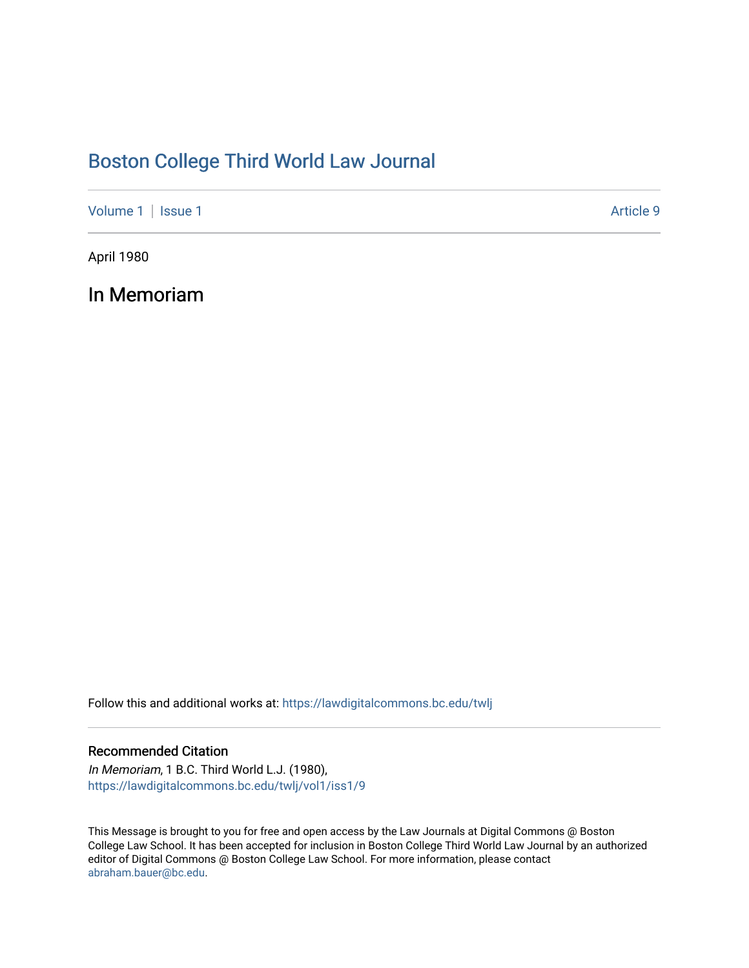## [Boston College Third World Law Journal](https://lawdigitalcommons.bc.edu/twlj)

[Volume 1](https://lawdigitalcommons.bc.edu/twlj/vol1) | [Issue 1](https://lawdigitalcommons.bc.edu/twlj/vol1/iss1) Article 9

April 1980

In Memoriam

Follow this and additional works at: [https://lawdigitalcommons.bc.edu/twlj](https://lawdigitalcommons.bc.edu/twlj?utm_source=lawdigitalcommons.bc.edu%2Ftwlj%2Fvol1%2Fiss1%2F9&utm_medium=PDF&utm_campaign=PDFCoverPages) 

## Recommended Citation

In Memoriam, 1 B.C. Third World L.J. (1980), [https://lawdigitalcommons.bc.edu/twlj/vol1/iss1/9](https://lawdigitalcommons.bc.edu/twlj/vol1/iss1/9?utm_source=lawdigitalcommons.bc.edu%2Ftwlj%2Fvol1%2Fiss1%2F9&utm_medium=PDF&utm_campaign=PDFCoverPages) 

This Message is brought to you for free and open access by the Law Journals at Digital Commons @ Boston College Law School. It has been accepted for inclusion in Boston College Third World Law Journal by an authorized editor of Digital Commons @ Boston College Law School. For more information, please contact [abraham.bauer@bc.edu.](mailto:abraham.bauer@bc.edu)